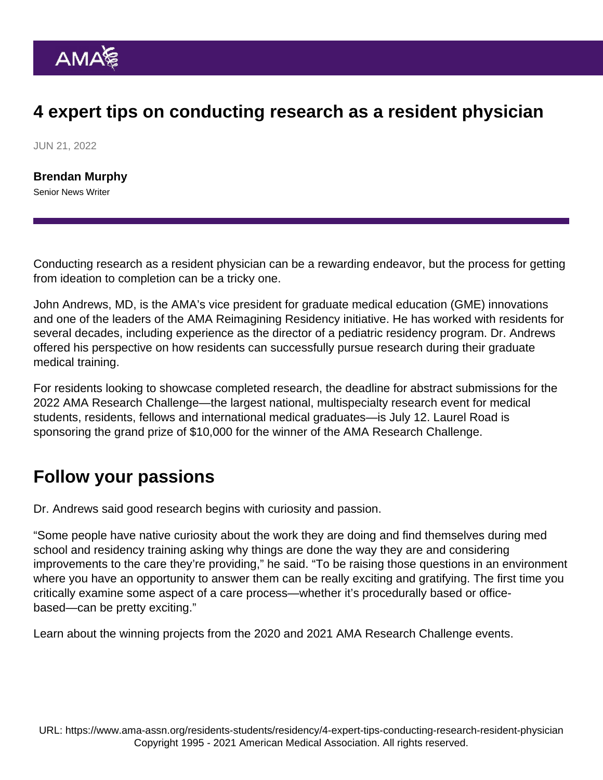# 4 expert tips on conducting research as a resident physician

JUN 21, 2022

[Brendan Murphy](https://www.ama-assn.org/news-leadership-viewpoints/authors-news-leadership-viewpoints/brendan-murphy) Senior News Writer

Conducting research as a resident physician can be a rewarding endeavor, but the process for getting from ideation to completion can be a tricky one.

John Andrews, MD, is the AMA's vice president for graduate medical education (GME) innovations and one of the leaders of the [AMA Reimagining Residency initiative](https://www.ama-assn.org/education/accelerating-change-medical-education/ama-reimagining-residency-initiative). He has worked with residents for several decades, including experience as the director of a pediatric residency program. Dr. Andrews offered his perspective on how residents can successfully pursue research during their graduate medical training.

For residents looking to showcase completed research, the deadline for abstract submissions [for the](https://www.ama-assn.org/about/research/ama-research-challenge) [2022 AMA Research Challenge](https://www.ama-assn.org/about/research/ama-research-challenge)—the largest national, multispecialty research event for medical students, residents, fellows and international medical graduates—is July 12. Laurel Road is sponsoring the grand prize of \$10,000 for the winner of the AMA Research Challenge.

#### Follow your passions

Dr. Andrews said good research begins with curiosity and passion.

"Some people have native curiosity about the work they are doing and find themselves during med school and residency training asking why things are done the way they are and considering improvements to the care they're providing," he said. "To be raising those questions in an environment where you have an opportunity to answer them can be really exciting and gratifying. The first time you critically examine some aspect of a care process—whether it's procedurally based or officebased—can be pretty exciting."

Learn about [the winning projects from the 2020](https://www.ama-assn.org/about/research/research-ventilator-allocation-e-cigarettes-lands-top-honors) and [2021 AMA Research Challenge](https://www.ama-assn.org/about/research/research-moraxella-catarrhalis-wins-10000-grand-prize-challenge) events.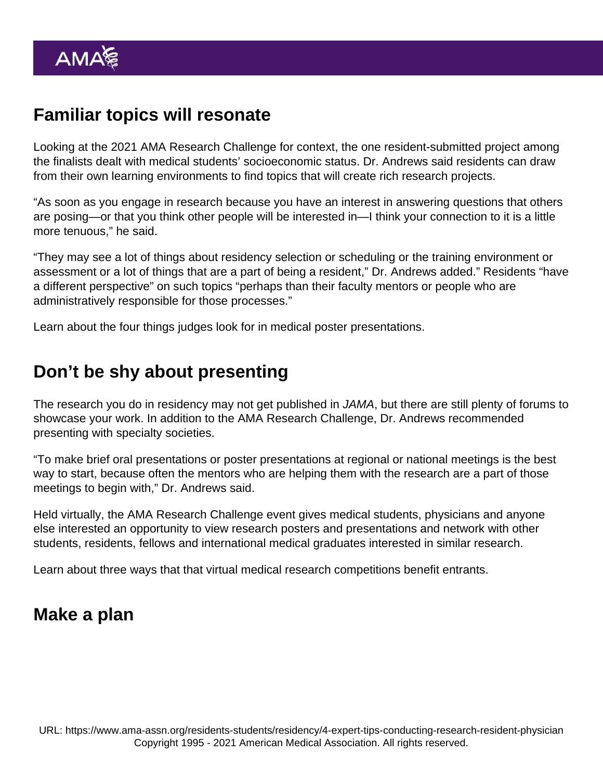# Familiar topics will resonate

Looking at the 2021 AMA Research Challenge for context, the one resident-submitted project among the finalists dealt with medical students' socioeconomic status. Dr. Andrews said residents can draw from their own learning environments to find topics that will create rich research projects.

"As soon as you engage in research because you have an interest in answering questions that others are posing—or that you think other people will be interested in—I think your connection to it is a little more tenuous," he said.

"They may see a lot of things about residency selection or scheduling or the training environment or assessment or a lot of things that are a part of being a resident," Dr. Andrews added." Residents "have a different perspective" on such topics "perhaps than their faculty mentors or people who are administratively responsible for those processes."

Learn about the four things [judges look for in medical poster presentations](https://www.ama-assn.org/residents-students/medical-school-life/4-things-judges-look-medical-poster-presentations).

## Don't be shy about presenting

The research you do in residency may not get published in JAMA, but there are still plenty of forums to showcase your work. In addition to the AMA Research Challenge, Dr. Andrews recommended presenting with specialty societies.

"To make brief oral presentations or poster presentations at regional or national meetings is the best way to start, because often the mentors who are helping them with the research are a part of those meetings to begin with," Dr. Andrews said.

Held virtually, the AMA Research Challenge event gives medical students, physicians and anyone else interested an opportunity to view research posters and presentations and network with other students, residents, fellows and international medical graduates interested in similar research.

Learn about three ways that that [virtual medical research competitions benefit entrants.](https://www.ama-assn.org/about/research/3-ways-virtual-medical-research-competitions-benefit-entrants)

#### Make a plan